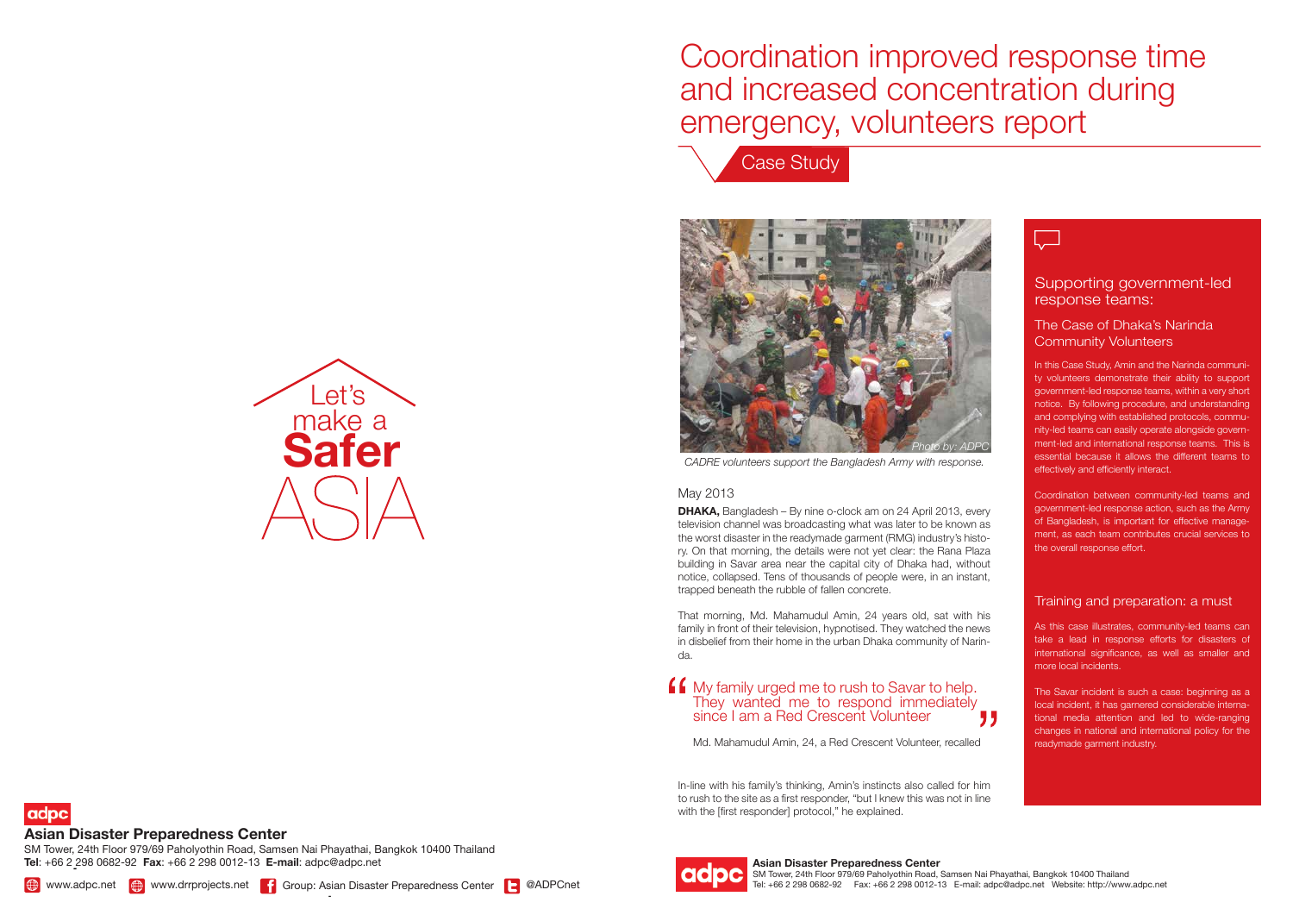**Asian Disaster Preparedness Center** SM Tower, 24th Floor 979/69 Paholyothin Road, Samsen Nai Phayathai, Bangkok 10400 Thailand Tel: +66 2 298 0682-92 Fax: +66 2 298 0012-13 E-mail: adpc@adpc.net Website: http://www.adpc.net





## 



# Coordination improved response time and increased concentration during emergency, volunteers report

In-line with his family's thinking, Amin's instincts also called for him to rush to the site as a first responder, "but I knew this was not in line with the [first responder] protocol," he explained.

**DHAKA,** Bangladesh – By nine o-clock am on 24 April 2013, every television channel was broadcasting what was later to be known as the worst disaster in the readymade garment (RMG) industry's history. On that morning, the details were not yet clear: the Rana Plaza building in Savar area near the capital city of Dhaka had, without notice, collapsed. Tens of thousands of people were, in an instant, trapped beneath the rubble of fallen concrete.



That morning, Md. Mahamudul Amin, 24 years old, sat with his family in front of their television, hypnotised. They watched the news in disbelief from their home in the urban Dhaka community of Narinda.

**Photo by Shamima Akhteric Shamima Akhterract.** In this Case Study, Amin and the Narinda community volunteers demonstrate their ability to support government-led response teams, within a very short notice. By following procedure, and understanding and complying with established protocols, community-led teams can easily operate alongside government-led and international response teams. This is essential because it allows the different teams to

#### May 2013



### **Asian Disaster Preparedness Center**

adpc

*-* **Tel**: +66 2 298 0682-92 **Fax**: +66 2 298 0012-13 **E-mail**: adpc@adpc.net SM Tower, 24th Floor 979/69 Paholyothin Road, Samsen Nai Phayathai, Bangkok 10400 Thailand

### Supporting government-led response teams:

Coordination between community-led teams and government-led response action, such as the Army of Bangladesh, is important for effective management, as each team contributes crucial services to the overall response effort.

#### The Case of Dhaka's Narinda Community Volunteers

#### Training and preparation: a must

As this case illustrates, community-led teams can take a lead in response efforts for disasters of international significance, as well as smaller and more local incidents.

The Savar incident is such a case: beginning as a local incident, it has garnered considerable international media attention and led to wide-ranging changes in national and international policy for the readymade garment industry.

### My family urged me to rush to Savar to help. They wanted me to respond immediately since I am a Red Crescent Volunteer

Md. Mahamudul Amin, 24, a Red Crescent Volunteer, recalled



*CADRE volunteers support the Bangladesh Army with response.*